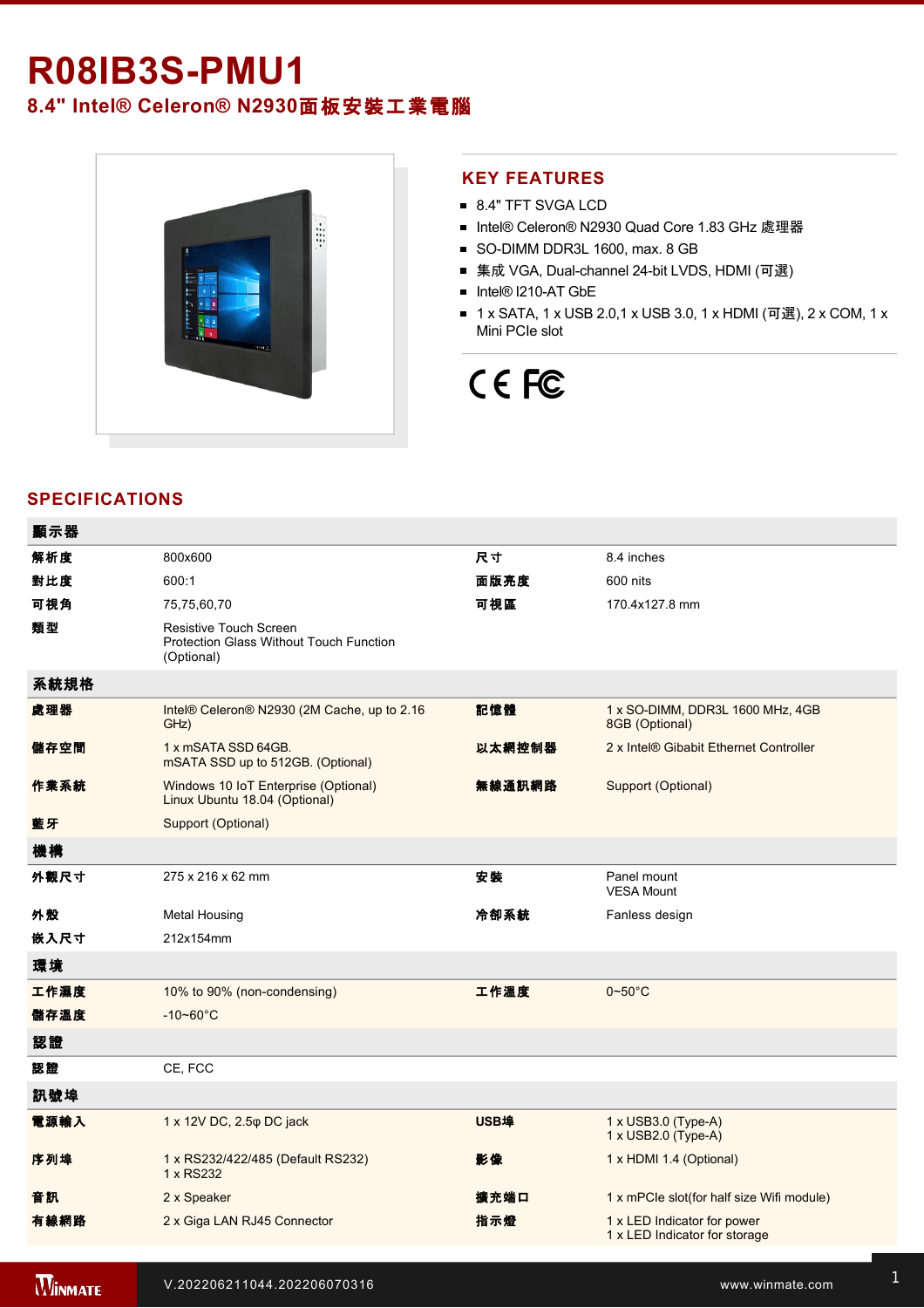## **R08IB3S-PMU1**

### **8.4" Intel® Celeron® N2930**面板安裝工業電腦



#### **KEY FEATURES**

- 8.4" TFT SVGA LCD
- Intel® Celeron® N2930 Quad Core 1.83 GHz 處理器
- SO-DIMM DDR3L 1600, max. 8 GB
- 集成 VGA, Dual-channel 24-bit LVDS, HDMI (可選)
- Intel® I210-AT GbE
- 1 x SATA, 1 x USB 2.0,1 x USB 3.0, 1 x HDMI (可選), 2 x COM, 1 x Mini PCIe slot

# CE FC

#### **SPECIFICATIONS**

| 顯示器  |                                                                                               |             |                                                              |
|------|-----------------------------------------------------------------------------------------------|-------------|--------------------------------------------------------------|
| 解析度  | 800x600                                                                                       | 尺寸          | 8.4 inches                                                   |
| 對比度  | 600:1                                                                                         | 面版亮度        | 600 nits                                                     |
| 可視角  | 75,75,60,70                                                                                   | 可視區         | 170.4x127.8 mm                                               |
| 類型   | <b>Resistive Touch Screen</b><br><b>Protection Glass Without Touch Function</b><br>(Optional) |             |                                                              |
| 系統規格 |                                                                                               |             |                                                              |
| 處理器  | Intel® Celeron® N2930 (2M Cache, up to 2.16<br>GHz)                                           | 記憶體         | 1 x SO-DIMM, DDR3L 1600 MHz, 4GB<br>8GB (Optional)           |
| 儲存空間 | 1 x mSATA SSD 64GB.<br>mSATA SSD up to 512GB. (Optional)                                      | 以太網控制器      | 2 x Intel® Gibabit Ethernet Controller                       |
| 作業系統 | Windows 10 IoT Enterprise (Optional)<br>Linux Ubuntu 18.04 (Optional)                         | 無線通訊網路      | Support (Optional)                                           |
| 藍牙   | Support (Optional)                                                                            |             |                                                              |
| 機構   |                                                                                               |             |                                                              |
| 外觀尺寸 | 275 x 216 x 62 mm                                                                             | 安装          | Panel mount<br><b>VESA Mount</b>                             |
| 外殼   | <b>Metal Housing</b>                                                                          | 冷卻系統        | Fanless design                                               |
| 嵌入尺寸 | 212x154mm                                                                                     |             |                                                              |
| 環境   |                                                                                               |             |                                                              |
| 工作濕度 | 10% to 90% (non-condensing)                                                                   | 工作溫度        | $0\nthicksim50^{\circ}$ C                                    |
| 儲存溫度 | $-10 - 60^{\circ}C$                                                                           |             |                                                              |
| 認證   |                                                                                               |             |                                                              |
| 認證   | CE, FCC                                                                                       |             |                                                              |
| 訊號埠  |                                                                                               |             |                                                              |
| 電源輸入 | 1 x 12V DC, 2.5 $\varphi$ DC jack                                                             | <b>USB埠</b> | 1 x USB3.0 (Type-A)<br>1 x USB2.0 (Type-A)                   |
| 序列埠  | 1 x RS232/422/485 (Default RS232)<br>1 x RS232                                                | 影像          | 1 x HDMI 1.4 (Optional)                                      |
| 音訊   | 2 x Speaker                                                                                   | 擴充端口        | 1 x mPCle slot(for half size Wifi module)                    |
| 有線網路 | 2 x Giga LAN RJ45 Connector                                                                   | 指示燈         | 1 x LED Indicator for power<br>1 x LED Indicator for storage |
|      |                                                                                               |             |                                                              |

**WINMATE**